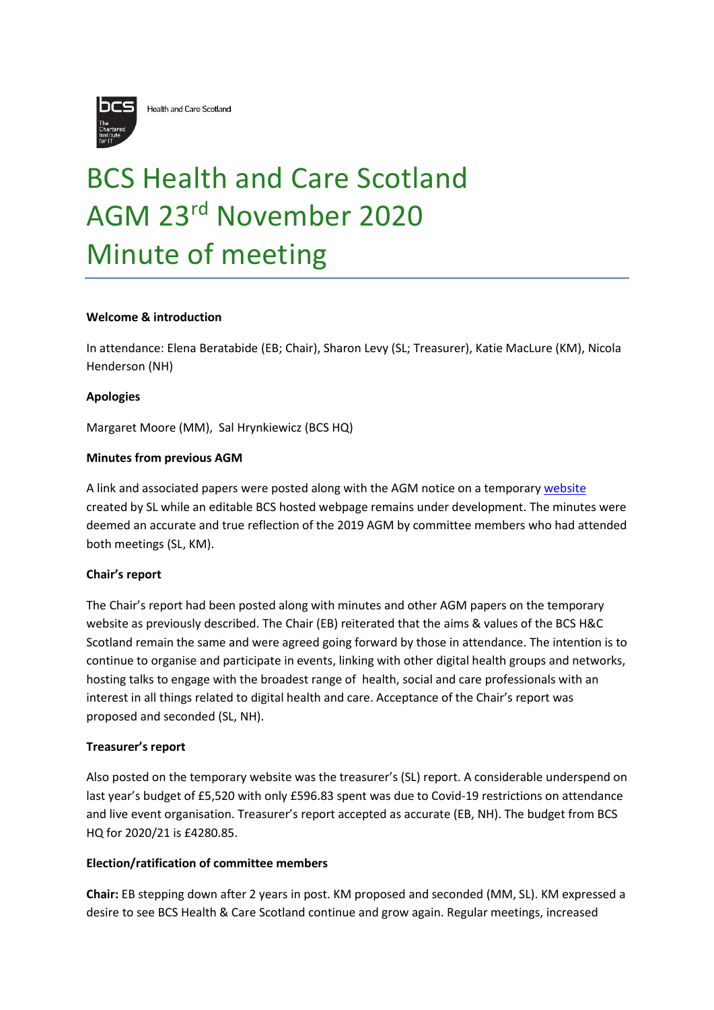

Health and Care Scotland

# BCS Health and Care Scotland AGM 23rd November 2020 Minute of meeting

## **Welcome & introduction**

In attendance: Elena Beratabide (EB; Chair), Sharon Levy (SL; Treasurer), Katie MacLure (KM), Nicola Henderson (NH)

#### **Apologies**

Margaret Moore (MM), Sal Hrynkiewicz (BCS HQ)

## **Minutes from previous AGM**

A link and associated papers were posted along with the AGM notice on a temporary [website](https://v3.pebblepad.co.uk/spa/#/public/w4WgzHM5kRzfsWtHkhwrxzj9by) created by SL while an editable BCS hosted webpage remains under development. The minutes were deemed an accurate and true reflection of the 2019 AGM by committee members who had attended both meetings (SL, KM).

#### **Chair's report**

The Chair's report had been posted along with minutes and other AGM papers on the temporary website as previously described. The Chair (EB) reiterated that the aims & values of the BCS H&C Scotland remain the same and were agreed going forward by those in attendance. The intention is to continue to organise and participate in events, linking with other digital health groups and networks, hosting talks to engage with the broadest range of health, social and care professionals with an interest in all things related to digital health and care. Acceptance of the Chair's report was proposed and seconded (SL, NH).

#### **Treasurer's report**

Also posted on the temporary website was the treasurer's (SL) report. A considerable underspend on last year's budget of £5,520 with only £596.83 spent was due to Covid-19 restrictions on attendance and live event organisation. Treasurer's report accepted as accurate (EB, NH). The budget from BCS HQ for 2020/21 is £4280.85.

#### **Election/ratification of committee members**

**Chair:** EB stepping down after 2 years in post. KM proposed and seconded (MM, SL). KM expressed a desire to see BCS Health & Care Scotland continue and grow again. Regular meetings, increased